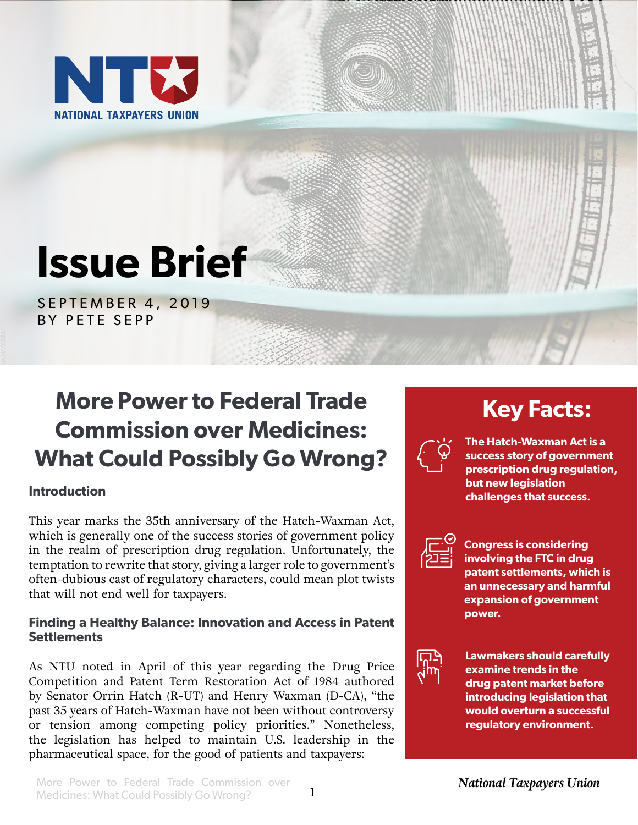

# **Issue Brief**

SEPTEMBER 4, 2019 BY PETE SEPP

# **More Power to Federal Trade Commission over Medicines: What Could Possibly Go Wrong?**

## **Introduction**

This year marks the 35th anniversary of the Hatch-Waxman Act, which is generally one of the success stories of government policy in the realm of prescription drug regulation. Unfortunately, the temptation to rewrite that story, giving a larger role to government's often-dubious cast of regulatory characters, could mean plot twists that will not end well for taxpayers.

#### **Finding a Healthy Balance: Innovation and Access in Patent Settlements**

As NTU noted in April of this year regarding the Drug Price Competition and Patent Term Restoration Act of 1984 authored by Senator Orrin Hatch (R-UT) and Henry Waxman (D-CA), "the past 35 years of Hatch-Waxman have not been without controversy or tension among competing policy priorities." Nonetheless, the legislation has helped to maintain U.S. leadership in the pharmaceutical space, for the good of patients and taxpayers:

# **Key Facts:**



**The Hatch-Waxman Act is a success story of government prescription drug regulation, but new legislation challenges that success.**



**Congress is considering involving the FTC in drug patent settlements, which is an unnecessary and harmful expansion of government power.**



**Lawmakers should carefully examine trends in the drug patent market before introducing legislation that would overturn a successful regulatory environment.**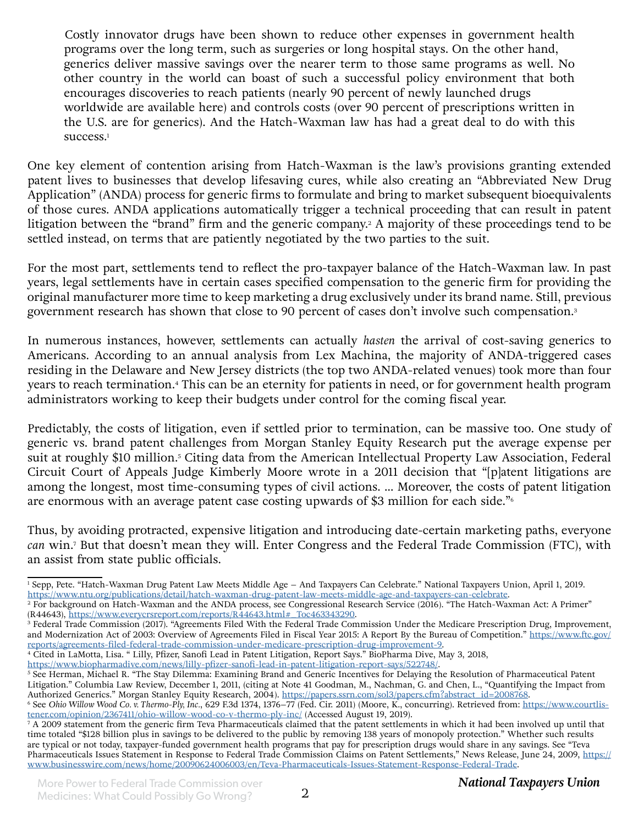Costly innovator drugs have been shown to reduce other expenses in government health programs over the long term, such as surgeries or long hospital stays. On the other hand, generics deliver massive savings over the nearer term to those same programs as well. No other country in the world can boast of such a successful policy environment that both encourages discoveries to reach patients (nearly 90 percent of newly launched drugs worldwide are available here) and controls costs (over 90 percent of prescriptions written in the U.S. are for generics). And the Hatch-Waxman law has had a great deal to do with this success.<sup>1</sup>

One key element of contention arising from Hatch-Waxman is the law's provisions granting extended patent lives to businesses that develop lifesaving cures, while also creating an "Abbreviated New Drug Application" (ANDA) process for generic firms to formulate and bring to market subsequent bioequivalents of those cures. ANDA applications automatically trigger a technical proceeding that can result in patent litigation between the "brand" firm and the generic company.<sup>2</sup> A majority of these proceedings tend to be settled instead, on terms that are patiently negotiated by the two parties to the suit.

For the most part, settlements tend to reflect the pro-taxpayer balance of the Hatch-Waxman law. In past years, legal settlements have in certain cases specified compensation to the generic firm for providing the original manufacturer more time to keep marketing a drug exclusively under its brand name. Still, previous government research has shown that close to 90 percent of cases don't involve such compensation.<sup>3</sup>

In numerous instances, however, settlements can actually *hasten* the arrival of cost-saving generics to Americans. According to an annual analysis from Lex Machina, the majority of ANDA-triggered cases residing in the Delaware and New Jersey districts (the top two ANDA-related venues) took more than four years to reach termination.4 This can be an eternity for patients in need, or for government health program administrators working to keep their budgets under control for the coming fiscal year.

Predictably, the costs of litigation, even if settled prior to termination, can be massive too. One study of generic vs. brand patent challenges from Morgan Stanley Equity Research put the average expense per suit at roughly \$10 million.5 Citing data from the American Intellectual Property Law Association, Federal Circuit Court of Appeals Judge Kimberly Moore wrote in a 2011 decision that "[p]atent litigations are among the longest, most time-consuming types of civil actions. … Moreover, the costs of patent litigation are enormous with an average patent case costing upwards of \$3 million for each side."6

Thus, by avoiding protracted, expensive litigation and introducing date-certain marketing paths, everyone *can* win.7 But that doesn't mean they will. Enter Congress and the Federal Trade Commission (FTC), with an assist from state public officials.

<https://www.biopharmadive.com/news/lilly-pfizer-sanofi-lead-in-patent-litigation-report-says/522748/>.

5 See Herman, Michael R. "The Stay Dilemma: Examining Brand and Generic Incentives for Delaying the Resolution of Pharmaceutical Patent Litigation." Columbia Law Review, December 1, 2011, (citing at Note 41 Goodman, M., Nachman, G. and Chen, L., "Quantifying the Impact from Authorized Generics." Morgan Stanley Equity Research, 2004). [https://papers.ssrn.com/sol3/papers.cfm?abstract\\_id=2008768](https://papers.ssrn.com/sol3/papers.cfm?abstract_id=2008768).

<sup>1</sup> Sepp, Pete. "Hatch-Waxman Drug Patent Law Meets Middle Age – And Taxpayers Can Celebrate." National Taxpayers Union, April 1, 2019. [https://www.ntu.org/publications/detail/hatch-waxman-drug-patent-law-meets-middle-age-and-taxpayers-can-celebrate](https://www.ntu.org/publications/detail/hatch-waxman-drug-patent-law-meets-middle-age-and-taxpayers-).

<sup>2</sup> For background on Hatch-Waxman and the ANDA process, see Congressional Research Service (2016). "The Hatch-Waxman Act: A Primer" (R44643), [https://www.everycrsreport.com/reports/R44643.html#\\_Toc463343290](https://www.everycrsreport.com/reports/R44643.html#_Toc463343290).

<sup>3</sup> Federal Trade Commission (2017). "Agreements Filed With the Federal Trade Commission Under the Medicare Prescription Drug, Improvement, and Modernization Act of 2003: Overview of Agreements Filed in Fiscal Year 2015: A Report By the Bureau of Competition." [https://www.ftc.gov/](https://www.ftc.gov/reports/agreements-filed-federal-trade-commission-under-medicare-prescription-drug-improvement-9) [reports/agreements-filed-federal-trade-commission-under-medicare-prescription-drug-improvement-9](https://www.ftc.gov/reports/agreements-filed-federal-trade-commission-under-medicare-prescription-drug-improvement-9).

<sup>4</sup> Cited in LaMotta, Lisa. " Lilly, Pfizer, Sanofi Lead in Patent Litigation, Report Says." BioPharma Dive, May 3, 2018,

<sup>6</sup> See *Ohio Willow Wood Co. v. Thermo-Ply, Inc.*, 629 F.3d 1374, 1376–77 (Fed. Cir. 2011) (Moore, K., concurring). Retrieved from: [https://www.courtlis](https://www.courtlistener.com/opinion/2367411/ohio-willow-wood-co-v-thermo-ply-inc/)[tener.com/opinion/2367411/ohio-willow-wood-co-v-thermo-ply-inc/](https://www.courtlistener.com/opinion/2367411/ohio-willow-wood-co-v-thermo-ply-inc/) (Accessed August 19, 2019).<br>7 A 2009 statement from the generic firm Teva Pharmaceuticals claimed that the patent settlements in which it had been involved up

time totaled "\$128 billion plus in savings to be delivered to the public by removing 138 years of monopoly protection." Whether such results are typical or not today, taxpayer-funded government health programs that pay for prescription drugs would share in any savings. See "Teva Pharmaceuticals Issues Statement in Response to Federal Trade Commission Claims on Patent Settlements," News Release, June 24, 2009, [https://](https://www.businesswire.com/news/home/20090624006003/en/Teva-Pharmaceuticals-Issues-Statement-Response-Federal-Trade) [www.businesswire.com/news/home/20090624006003/en/Teva-Pharmaceuticals-Issues-Statement-Response-Federal-Trade](https://www.businesswire.com/news/home/20090624006003/en/Teva-Pharmaceuticals-Issues-Statement-Response-Federal-Trade).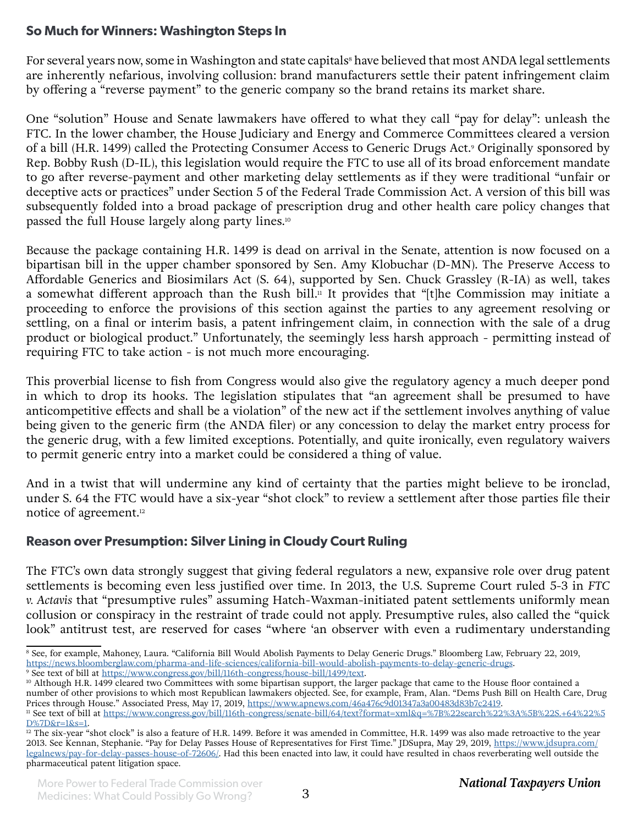## **So Much for Winners: Washington Steps In**

For several years now, some in Washington and state capitals<sup>8</sup> have believed that most ANDA legal settlements are inherently nefarious, involving collusion: brand manufacturers settle their patent infringement claim by offering a "reverse payment" to the generic company so the brand retains its market share.

One "solution" House and Senate lawmakers have offered to what they call "pay for delay": unleash the FTC. In the lower chamber, the House Judiciary and Energy and Commerce Committees cleared a version of a bill (H.R. 1499) called the Protecting Consumer Access to Generic Drugs Act.<sup>9</sup> Originally sponsored by Rep. Bobby Rush (D-IL), this legislation would require the FTC to use all of its broad enforcement mandate to go after reverse-payment and other marketing delay settlements as if they were traditional "unfair or deceptive acts or practices" under Section 5 of the Federal Trade Commission Act. A version of this bill was subsequently folded into a broad package of prescription drug and other health care policy changes that passed the full House largely along party lines.<sup>10</sup>

Because the package containing H.R. 1499 is dead on arrival in the Senate, attention is now focused on a bipartisan bill in the upper chamber sponsored by Sen. Amy Klobuchar (D-MN). The Preserve Access to Affordable Generics and Biosimilars Act (S. 64), supported by Sen. Chuck Grassley (R-IA) as well, takes a somewhat different approach than the Rush bill.<sup>11</sup> It provides that "[t]he Commission may initiate a proceeding to enforce the provisions of this section against the parties to any agreement resolving or settling, on a final or interim basis, a patent infringement claim, in connection with the sale of a drug product or biological product." Unfortunately, the seemingly less harsh approach - permitting instead of requiring FTC to take action - is not much more encouraging.

This proverbial license to fish from Congress would also give the regulatory agency a much deeper pond in which to drop its hooks. The legislation stipulates that "an agreement shall be presumed to have anticompetitive effects and shall be a violation" of the new act if the settlement involves anything of value being given to the generic firm (the ANDA filer) or any concession to delay the market entry process for the generic drug, with a few limited exceptions. Potentially, and quite ironically, even regulatory waivers to permit generic entry into a market could be considered a thing of value.

And in a twist that will undermine any kind of certainty that the parties might believe to be ironclad, under S. 64 the FTC would have a six-year "shot clock" to review a settlement after those parties file their notice of agreement.12

## **Reason over Presumption: Silver Lining in Cloudy Court Ruling**

The FTC's own data strongly suggest that giving federal regulators a new, expansive role over drug patent settlements is becoming even less justified over time. In 2013, the U.S. Supreme Court ruled 5-3 in *FTC v. Actavis* that "presumptive rules" assuming Hatch-Waxman-initiated patent settlements uniformly mean collusion or conspiracy in the restraint of trade could not apply. Presumptive rules, also called the "quick look" antitrust test, are reserved for cases "where 'an observer with even a rudimentary understanding

<sup>8</sup> See, for example, Mahoney, Laura. "California Bill Would Abolish Payments to Delay Generic Drugs." Bloomberg Law, February 22, 2019, <https://news.bloomberglaw.com/pharma-and-life-sciences/california-bill-would-abolish-payments-to-delay-generic-drugs>.

<sup>&</sup>lt;sup>9</sup> See text of bill at <https://www.congress.gov/bill/116th-congress/house-bill/1499/text>.

<sup>&</sup>lt;sup>10</sup> Although H.R. 1499 cleared two Committees with some bipartisan support, the larger package that came to the House floor contained a number of other provisions to which most Republican lawmakers objected. See, for example, Fram, Alan. "Dems Push Bill on Health Care, Drug Prices through House." Associated Press, May 17, 2019, <https://www.apnews.com/46a476c9d01347a3a00483d83b7c2419>.

<sup>&</sup>lt;sup>11</sup> See text of bill at [https://www.congress.gov/bill/116th-congress/senate-bill/64/text?format=xml&q=%7B%22search%22%3A%5B%22S.+64%22%5](https://www.congress.gov/bill/116th-congress/senate-bill/64/text?format=xml&q=%7B%22search%22%3A%5B%22S.+64%22%5D%7D&r=1&s=1) [D%7D&r=1&s=1](https://www.congress.gov/bill/116th-congress/senate-bill/64/text?format=xml&q=%7B%22search%22%3A%5B%22S.+64%22%5D%7D&r=1&s=1).

 $12$  The six-year "shot clock" is also a feature of H.R. 1499. Before it was amended in Committee, H.R. 1499 was also made retroactive to the year 2013. See Kennan, Stephanie. "Pay for Delay Passes House of Representatives for First Time." JDSupra, May 29, 2019, [https://www.jdsupra.com/](https://www.jdsupra.com/legalnews/pay-for-delay-passes-house-of-72606/) [legalnews/pay-for-delay-passes-house-of-72606/.](https://www.jdsupra.com/legalnews/pay-for-delay-passes-house-of-72606/) Had this been enacted into law, it could have resulted in chaos reverberating well outside the pharmaceutical patent litigation space.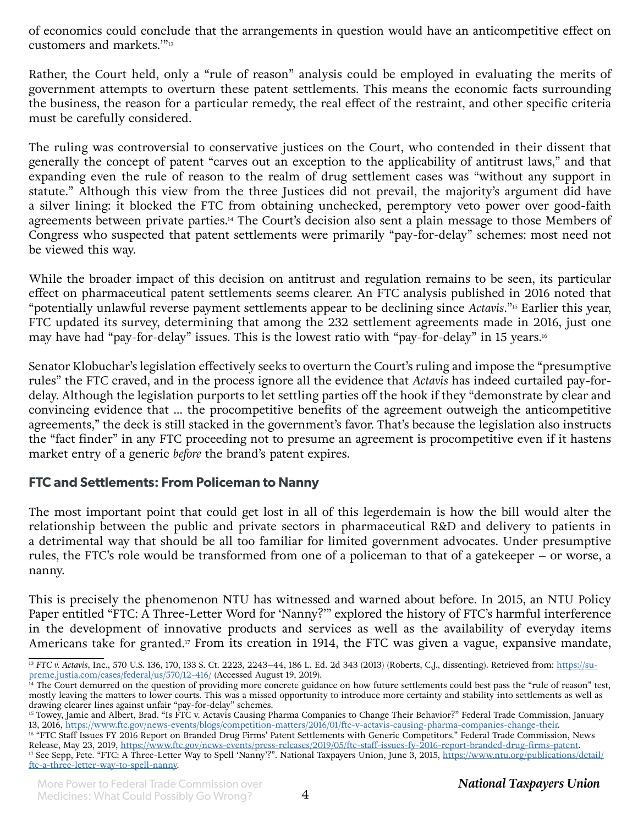of economics could conclude that the arrangements in question would have an anticompetitive effect on customers and markets.'"13

Rather, the Court held, only a "rule of reason" analysis could be employed in evaluating the merits of government attempts to overturn these patent settlements. This means the economic facts surrounding the business, the reason for a particular remedy, the real effect of the restraint, and other specific criteria must be carefully considered.

The ruling was controversial to conservative justices on the Court, who contended in their dissent that generally the concept of patent "carves out an exception to the applicability of antitrust laws," and that expanding even the rule of reason to the realm of drug settlement cases was "without any support in statute." Although this view from the three Justices did not prevail, the majority's argument did have a silver lining: it blocked the FTC from obtaining unchecked, peremptory veto power over good-faith agreements between private parties.14 The Court's decision also sent a plain message to those Members of Congress who suspected that patent settlements were primarily "pay-for-delay" schemes: most need not be viewed this way.

While the broader impact of this decision on antitrust and regulation remains to be seen, its particular effect on pharmaceutical patent settlements seems clearer. An FTC analysis published in 2016 noted that "potentially unlawful reverse payment settlements appear to be declining since *Actavis*."15 Earlier this year, FTC updated its survey, determining that among the 232 settlement agreements made in 2016, just one may have had "pay-for-delay" issues. This is the lowest ratio with "pay-for-delay" in 15 years.<sup>16</sup>

Senator Klobuchar's legislation effectively seeks to overturn the Court's ruling and impose the "presumptive rules" the FTC craved, and in the process ignore all the evidence that *Actavis* has indeed curtailed pay-fordelay. Although the legislation purports to let settling parties off the hook if they "demonstrate by clear and convincing evidence that … the procompetitive benefits of the agreement outweigh the anticompetitive agreements," the deck is still stacked in the government's favor. That's because the legislation also instructs the "fact finder" in any FTC proceeding not to presume an agreement is procompetitive even if it hastens market entry of a generic *before* the brand's patent expires.

#### **FTC and Settlements: From Policeman to Nanny**

The most important point that could get lost in all of this legerdemain is how the bill would alter the relationship between the public and private sectors in pharmaceutical R&D and delivery to patients in a detrimental way that should be all too familiar for limited government advocates. Under presumptive rules, the FTC's role would be transformed from one of a policeman to that of a gatekeeper – or worse, a nanny.

This is precisely the phenomenon NTU has witnessed and warned about before. In 2015, an NTU Policy Paper entitled "FTC: A Three-Letter Word for 'Nanny?'" explored the history of FTC's harmful interference in the development of innovative products and services as well as the availability of everyday items Americans take for granted.<sup>17</sup> From its creation in 1914, the FTC was given a vague, expansive mandate,

<sup>&</sup>lt;sup>13</sup> FTC v. Actavis, Inc., 570 U.S. 136, 170, 133 S. Ct. 2223, 2243-44, 186 L. Ed. 2d 343 (2013) (Roberts, C.J., dissenting). Retrieved from: [https://su](https://supreme.justia.com/cases/federal/us/570/12-416/)[preme.justia.com/cases/federal/us/570/12-416/](https://supreme.justia.com/cases/federal/us/570/12-416/) (Accessed August 19, 2019).

<sup>&</sup>lt;sup>14</sup> The Court demurred on the question of providing more concrete guidance on how future settlements could best pass the "rule of reason" test, mostly leaving the matters to lower courts. This was a missed opportunity to introduce more certainty and stability into settlements as well as drawing clearer lines against unfair "pay-for-delay" schemes.

<sup>&</sup>lt;sup>15</sup> Towey, Jamie and Albert, Brad. "Is FTC v. Actavis Causing Pharma Companies to Change Their Behavior?" Federal Trade Commission, January 13, 2016, <https://www.ftc.gov/news-events/blogs/competition-matters/2016/01/ftc-v-actavis-causing-pharma-companies-change-their>.

<sup>&</sup>lt;sup>16</sup> "FTC Staff Issues FY 2016 Report on Branded Drug Firms' Patent Settlements with Generic Competitors." Federal Trade Commission, News Release, May 23, 2019, <https://www.ftc.gov/news-events/press-releases/2019/05/ftc-staff-issues-fy-2016-report-branded-drug-firms-patent>. <sup>17</sup> See Sepp, Pete. "FTC: A Three-Letter Way to Spell 'Nanny'?". National Taxpayers Union, June 3, 2015, [https://www.ntu.org/publications/detail/](https://www.ntu.org/publications/detail/ftc-a-three-letter-way-to-spell-nanny) [ftc-a-three-letter-way-to-spell-nanny](https://www.ntu.org/publications/detail/ftc-a-three-letter-way-to-spell-nanny).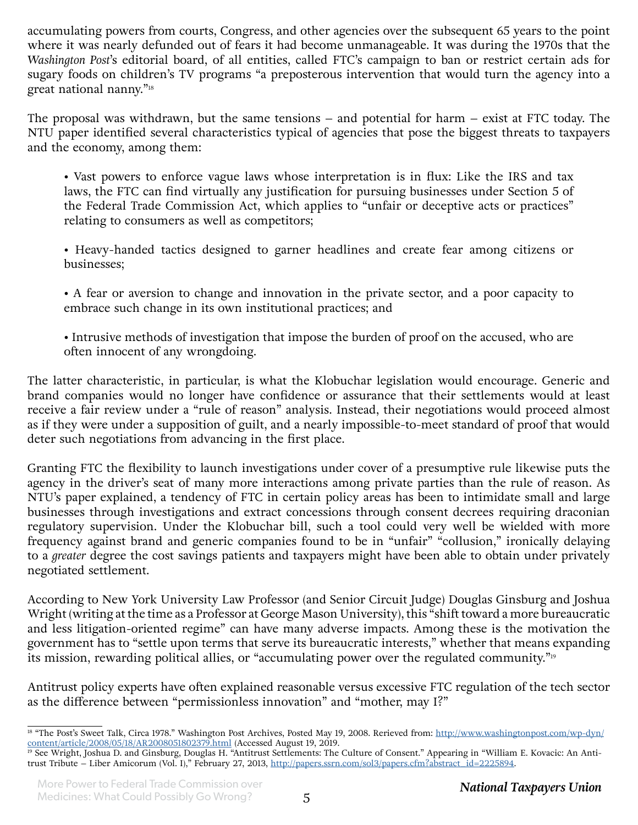accumulating powers from courts, Congress, and other agencies over the subsequent 65 years to the point where it was nearly defunded out of fears it had become unmanageable. It was during the 1970s that the *Washington Post*'s editorial board, of all entities, called FTC's campaign to ban or restrict certain ads for sugary foods on children's TV programs "a preposterous intervention that would turn the agency into a great national nanny."18

The proposal was withdrawn, but the same tensions – and potential for harm – exist at FTC today. The NTU paper identified several characteristics typical of agencies that pose the biggest threats to taxpayers and the economy, among them:

• Vast powers to enforce vague laws whose interpretation is in flux: Like the IRS and tax laws, the FTC can find virtually any justification for pursuing businesses under Section 5 of the Federal Trade Commission Act, which applies to "unfair or deceptive acts or practices" relating to consumers as well as competitors;

• Heavy-handed tactics designed to garner headlines and create fear among citizens or businesses;

• A fear or aversion to change and innovation in the private sector, and a poor capacity to embrace such change in its own institutional practices; and

• Intrusive methods of investigation that impose the burden of proof on the accused, who are often innocent of any wrongdoing.

The latter characteristic, in particular, is what the Klobuchar legislation would encourage. Generic and brand companies would no longer have confidence or assurance that their settlements would at least receive a fair review under a "rule of reason" analysis. Instead, their negotiations would proceed almost as if they were under a supposition of guilt, and a nearly impossible-to-meet standard of proof that would deter such negotiations from advancing in the first place.

Granting FTC the flexibility to launch investigations under cover of a presumptive rule likewise puts the agency in the driver's seat of many more interactions among private parties than the rule of reason. As NTU's paper explained, a tendency of FTC in certain policy areas has been to intimidate small and large businesses through investigations and extract concessions through consent decrees requiring draconian regulatory supervision. Under the Klobuchar bill, such a tool could very well be wielded with more frequency against brand and generic companies found to be in "unfair" "collusion," ironically delaying to a *greater* degree the cost savings patients and taxpayers might have been able to obtain under privately negotiated settlement.

According to New York University Law Professor (and Senior Circuit Judge) Douglas Ginsburg and Joshua Wright (writing at the time as a Professor at George Mason University), this "shift toward a more bureaucratic and less litigation-oriented regime" can have many adverse impacts. Among these is the motivation the government has to "settle upon terms that serve its bureaucratic interests," whether that means expanding its mission, rewarding political allies, or "accumulating power over the regulated community."<sup>19</sup>

Antitrust policy experts have often explained reasonable versus excessive FTC regulation of the tech sector as the difference between "permissionless innovation" and "mother, may I?"

<sup>&</sup>lt;sup>18</sup> "The Post's Sweet Talk, Circa 1978." Washington Post Archives, Posted May 19, 2008. Rerieved from: [http://www.washingtonpost.com/wp-dyn/](http://www.washingtonpost.com/wp-dyn/content/article/2008/05/18/AR2008051802379.html) [content/article/2008/05/18/AR2008051802379.html](http://www.washingtonpost.com/wp-dyn/content/article/2008/05/18/AR2008051802379.html) (Accessed August 19, 2019.

<sup>19</sup> See Wright, Joshua D. and Ginsburg, Douglas H. "Antitrust Settlements: The Culture of Consent." Appearing in "William E. Kovacic: An Antitrust Tribute – Liber Amicorum (Vol. I)," February 27, 2013, [http://papers.ssrn.com/sol3/papers.cfm?abstract\\_id=2225894](http://papers.ssrn.com/sol3/papers.cfm?abstract_id=2225894).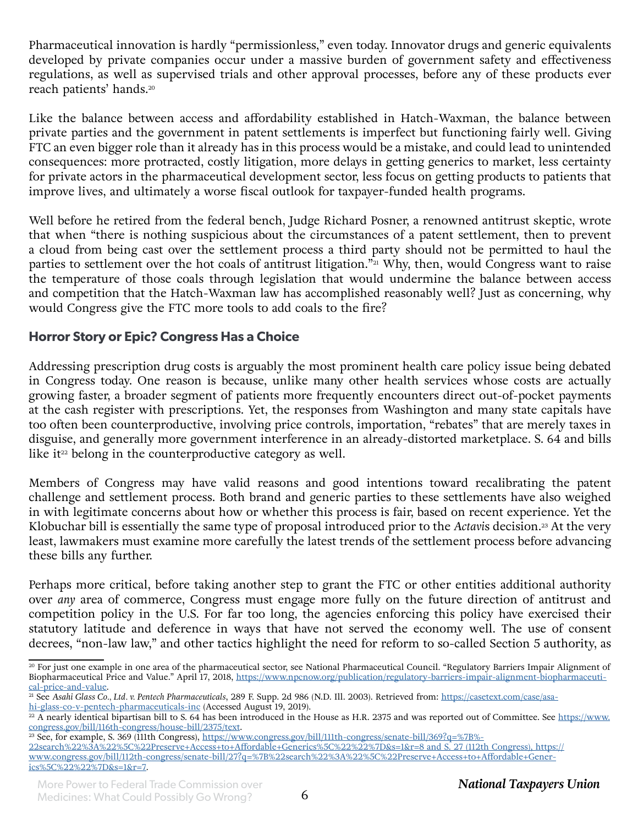Pharmaceutical innovation is hardly "permissionless," even today. Innovator drugs and generic equivalents developed by private companies occur under a massive burden of government safety and effectiveness regulations, as well as supervised trials and other approval processes, before any of these products ever reach patients' hands.<sup>20</sup>

Like the balance between access and affordability established in Hatch-Waxman, the balance between private parties and the government in patent settlements is imperfect but functioning fairly well. Giving FTC an even bigger role than it already has in this process would be a mistake, and could lead to unintended consequences: more protracted, costly litigation, more delays in getting generics to market, less certainty for private actors in the pharmaceutical development sector, less focus on getting products to patients that improve lives, and ultimately a worse fiscal outlook for taxpayer-funded health programs.

Well before he retired from the federal bench, Judge Richard Posner, a renowned antitrust skeptic, wrote that when "there is nothing suspicious about the circumstances of a patent settlement, then to prevent a cloud from being cast over the settlement process a third party should not be permitted to haul the parties to settlement over the hot coals of antitrust litigation." $\overline{21}$  Why, then, would Congress want to raise the temperature of those coals through legislation that would undermine the balance between access and competition that the Hatch-Waxman law has accomplished reasonably well? Just as concerning, why would Congress give the FTC more tools to add coals to the fire?

## **Horror Story or Epic? Congress Has a Choice**

Addressing prescription drug costs is arguably the most prominent health care policy issue being debated in Congress today. One reason is because, unlike many other health services whose costs are actually growing faster, a broader segment of patients more frequently encounters direct out-of-pocket payments at the cash register with prescriptions. Yet, the responses from Washington and many state capitals have too often been counterproductive, involving price controls, importation, "rebates" that are merely taxes in disguise, and generally more government interference in an already-distorted marketplace. S. 64 and bills like it $2$ <sup>22</sup> belong in the counterproductive category as well.

Members of Congress may have valid reasons and good intentions toward recalibrating the patent challenge and settlement process. Both brand and generic parties to these settlements have also weighed in with legitimate concerns about how or whether this process is fair, based on recent experience. Yet the Klobuchar bill is essentially the same type of proposal introduced prior to the *Actavis* decision.<sup>23</sup> At the very least, lawmakers must examine more carefully the latest trends of the settlement process before advancing these bills any further.

Perhaps more critical, before taking another step to grant the FTC or other entities additional authority over *any* area of commerce, Congress must engage more fully on the future direction of antitrust and competition policy in the U.S. For far too long, the agencies enforcing this policy have exercised their statutory latitude and deference in ways that have not served the economy well. The use of consent decrees, "non-law law," and other tactics highlight the need for reform to so-called Section 5 authority, as

[hi-glass-co-v-pentech-pharmaceuticals-inc](https://casetext.com/case/asahi-glass-co-v-pentech-pharmaceuticals-inc) (Accessed August 19, 2019).

<sup>20</sup> For just one example in one area of the pharmaceutical sector, see National Pharmaceutical Council. "Regulatory Barriers Impair Alignment of Biopharmaceutical Price and Value." April 17, 2018, [https://www.npcnow.org/publication/regulatory-barriers-impair-alignment-biopharmaceuti](https://www.npcnow.org/publication/regulatory-barriers-impair-alignment-biopharmaceutical-price-and-value)[cal-price-and-value](https://www.npcnow.org/publication/regulatory-barriers-impair-alignment-biopharmaceutical-price-and-value).

<sup>&</sup>lt;sup>21</sup> See Asahi Glass Co., Ltd. v. Pentech Pharmaceuticals, 289 F. Supp. 2d 986 (N.D. Ill. 2003). Retrieved from: [https://casetext.com/case/asa-](https://casetext.com/case/asahi-glass-co-v-pentech-pharmaceuticals-inc)

 $\frac{22 \text{ A}}{22 \text{ A}}$  nearly identical bipartisan bill to S. 64 has been introduced in the House as H.R. 2375 and was reported out of Committee. See [https://www.](https://www.congress.gov/bill/116th-congress/house-bill/2375/text) [congress.gov/bill/116th-congress/house-bill/2375/text](https://www.congress.gov/bill/116th-congress/house-bill/2375/text).

<sup>&</sup>lt;sup>23</sup> See, for example, S. 369 (111th Congress), [https://www.congress.gov/bill/111th-congress/senate-bill/369?q=%7B%](https://www.congress.gov/bill/111th-congress/senate-bill/369?q=%7B%22search%22%3A%22%5C%22Preserve+Access+to+Affordable+Generics%5C%22%22%7D&s=1&r=8 and S. 27 (112th Congress), https://www.congress.gov/bill/112th-congress/senate-bill/27?q=%7B%22search%22%)-

[<sup>22</sup>search%22%3A%22%5C%22Preserve+Access+to+Affordable+Generics%5C%22%22%7D&s=1&r=8 and S. 27 \(112th Congress\), https://](https://www.congress.gov/bill/111th-congress/senate-bill/369?q=%7B%22search%22%3A%22%5C%22Preserve+Access+to+Affordable+Generics%5C%22%22%7D&s=1&r=8 and S. 27 (112th Congress), https://www.congress.gov/bill/112th-congress/senate-bill/27?q=%7B%22search%22%) [www.congress.gov/bill/112th-congress/senate-bill/27?q=%7B%22search%22%3A%22%5C%22Preserve+Access+to+Affordable+Gener](https://www.congress.gov/bill/111th-congress/senate-bill/369?q=%7B%22search%22%3A%22%5C%22Preserve+Access+to+Affordable+Generics%5C%22%22%7D&s=1&r=8 and S. 27 (112th Congress), https://www.congress.gov/bill/112th-congress/senate-bill/27?q=%7B%22search%22%)[ics%5C%22%22%7D&s=1&r=7](https://www.congress.gov/bill/111th-congress/senate-bill/369?q=%7B%22search%22%3A%22%5C%22Preserve+Access+to+Affordable+Generics%5C%22%22%7D&s=1&r=8 and S. 27 (112th Congress), https://www.congress.gov/bill/112th-congress/senate-bill/27?q=%7B%22search%22%).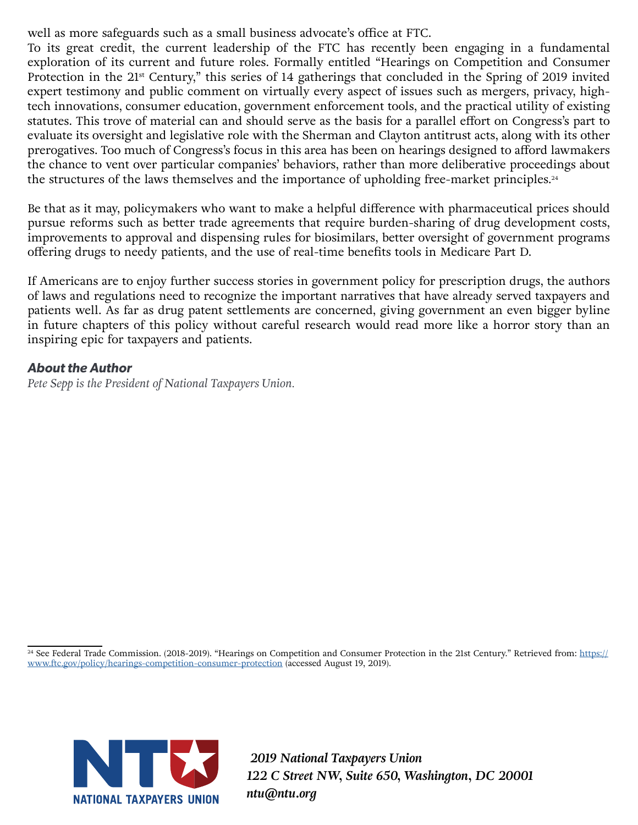well as more safeguards such as a small business advocate's office at FTC.

To its great credit, the current leadership of the FTC has recently been engaging in a fundamental exploration of its current and future roles. Formally entitled "Hearings on Competition and Consumer Protection in the 21<sup>st</sup> Century," this series of 14 gatherings that concluded in the Spring of 2019 invited expert testimony and public comment on virtually every aspect of issues such as mergers, privacy, hightech innovations, consumer education, government enforcement tools, and the practical utility of existing statutes. This trove of material can and should serve as the basis for a parallel effort on Congress's part to evaluate its oversight and legislative role with the Sherman and Clayton antitrust acts, along with its other prerogatives. Too much of Congress's focus in this area has been on hearings designed to afford lawmakers the chance to vent over particular companies' behaviors, rather than more deliberative proceedings about the structures of the laws themselves and the importance of upholding free-market principles.<sup>24</sup>

Be that as it may, policymakers who want to make a helpful difference with pharmaceutical prices should pursue reforms such as better trade agreements that require burden-sharing of drug development costs, improvements to approval and dispensing rules for biosimilars, better oversight of government programs offering drugs to needy patients, and the use of real-time benefits tools in Medicare Part D.

If Americans are to enjoy further success stories in government policy for prescription drugs, the authors of laws and regulations need to recognize the important narratives that have already served taxpayers and patients well. As far as drug patent settlements are concerned, giving government an even bigger byline in future chapters of this policy without careful research would read more like a horror story than an inspiring epic for taxpayers and patients.

#### *About the Author*

*Pete Sepp is the President of National Taxpayers Union.* 

<sup>24</sup> See Federal Trade Commission. (2018-2019). "Hearings on Competition and Consumer Protection in the 21st Century." Retrieved from: [https://](https://www.ftc.gov/policy/hearings-competition-consumer-protection) [www.ftc.gov/policy/hearings-competition-consumer-protection](https://www.ftc.gov/policy/hearings-competition-consumer-protection) (accessed August 19, 2019).



 *2019 National Taxpayers Union 122 C Street NW, Suite 650, Washington, DC 20001 ntu@ntu.org*